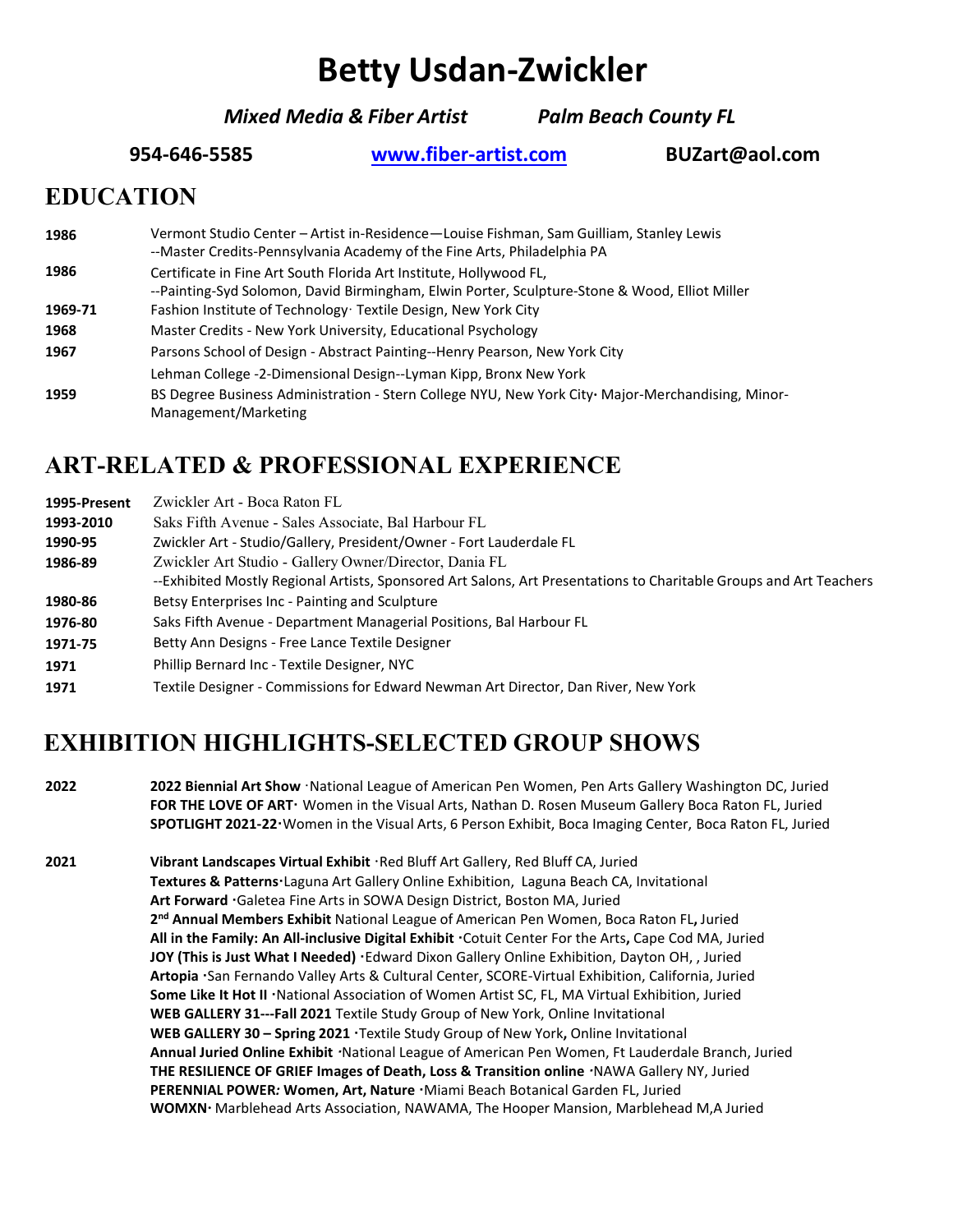# **Betty Usdan-Zwickler**

*Mixed Media & Fiber Artist Palm Beach County FL*

**954-646-5585 [www.fiber-artist.com](http://www.fiber-artist.com/) [BUZart@aol.com](mailto:BUZart@aol.com)**

#### **EDUCATION**

| 1986    | Vermont Studio Center - Artist in-Residence - Louise Fishman, Sam Guilliam, Stanley Lewis<br>--Master Credits-Pennsylvania Academy of the Fine Arts, Philadelphia PA |
|---------|----------------------------------------------------------------------------------------------------------------------------------------------------------------------|
| 1986    | Certificate in Fine Art South Florida Art Institute, Hollywood FL,<br>--Painting-Syd Solomon, David Birmingham, Elwin Porter, Sculpture-Stone & Wood, Elliot Miller  |
| 1969-71 | Fashion Institute of Technology Textile Design, New York City                                                                                                        |
| 1968    | Master Credits - New York University, Educational Psychology                                                                                                         |
| 1967    | Parsons School of Design - Abstract Painting--Henry Pearson, New York City                                                                                           |
|         | Lehman College -2-Dimensional Design--Lyman Kipp, Bronx New York                                                                                                     |
| 1959    | BS Degree Business Administration - Stern College NYU, New York City· Major-Merchandising, Minor-<br>Management/Marketing                                            |

#### **ART-RELATED & PROFESSIONAL EXPERIENCE**

| 1995-Present | Zwickler Art - Boca Raton FL                                                                                       |
|--------------|--------------------------------------------------------------------------------------------------------------------|
| 1993-2010    | Saks Fifth Avenue - Sales Associate, Bal Harbour FL                                                                |
| 1990-95      | Zwickler Art - Studio/Gallery, President/Owner - Fort Lauderdale FL                                                |
| 1986-89      | Zwickler Art Studio - Gallery Owner/Director, Dania FL                                                             |
|              | --Exhibited Mostly Regional Artists, Sponsored Art Salons, Art Presentations to Charitable Groups and Art Teachers |
| 1980-86      | Betsy Enterprises Inc - Painting and Sculpture                                                                     |
| 1976-80      | Saks Fifth Avenue - Department Managerial Positions, Bal Harbour FL                                                |
| 1971-75      | Betty Ann Designs - Free Lance Textile Designer                                                                    |
| 1971         | Phillip Bernard Inc - Textile Designer, NYC                                                                        |
| 1971         | Textile Designer - Commissions for Edward Newman Art Director, Dan River, New York                                 |

# **EXHIBITION HIGHLIGHTS-SELECTED GROUP SHOWS**

**2022 2022 Biennial Art Show** · National League of American Pen Women, Pen Arts Gallery Washington DC, Juried **FOR THE LOVE OF ARTꞏ** Women in the Visual Arts, Nathan D. Rosen Museum Gallery Boca Raton FL, Juried **SPOTLIGHT 2021-22ꞏ**Women in the Visual Arts, 6 Person Exhibit, Boca Imaging Center, Boca Raton FL, Juried

**2021 Vibrant Landscapes Virtual Exhibit ꞏ**Red Bluff Art Gallery, Red Bluff CA, Juried **Textures & Patternsꞏ**Laguna Art Gallery Online Exhibition, Laguna Beach CA, Invitational **Art Forward ꞏ**Galetea Fine Arts in SOWA Design District, Boston MA, Juried **2nd Annual Members Exhibit** National League of American Pen Women, Boca Raton FL**,** Juried **All in the Family: An All-inclusive Digital Exhibit ꞏ**Cotuit Center For the Arts**,** Cape Cod MA, Juried **JOY (This is Just What I Needed) ꞏ**Edward Dixon Gallery Online Exhibition, Dayton OH, , Juried **Artopia ꞏ**San Fernando Valley Arts & Cultural Center, SCORE-Virtual Exhibition, California, Juried Some Like It Hot II **·**National Association of Women Artist SC, FL, MA Virtual Exhibition, Juried **WEB GALLERY 31---Fall 2021** Textile Study Group of New York, Online Invitational **WEB GALLERY 30 – Spring 2021 ꞏ**Textile Study Group of New York**,** Online Invitational **Annual Juried Online Exhibit** *ꞏ*National League of American Pen Women, Ft Lauderdale Branch, Juried THE RESILIENCE OF GRIEF Images of Death, Loss & Transition online *MAWA Gallery NY, Juried* **PERENNIAL POWER***:* **Women, Art, Nature ꞏ**Miami Beach Botanical Garden FL, Juried **WOMXN***ꞏ* Marblehead Arts Association, NAWAMA, The Hooper Mansion, Marblehead M,A Juried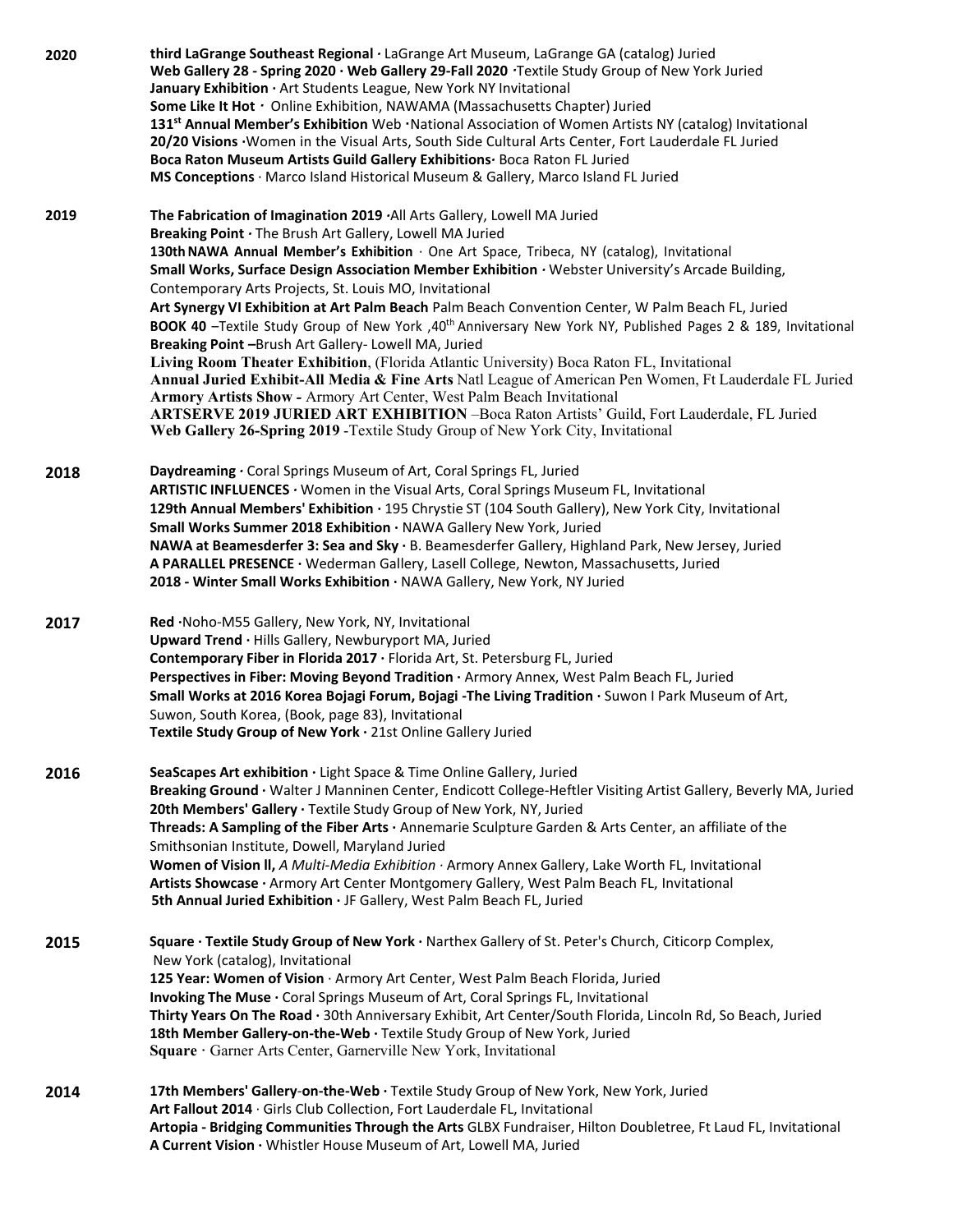**2020 third LaGrange Southeast Regional** *·* LaGrange Art Museum, LaGrange GA (catalog) Juried **Web Gallery 28 - Spring 2020 · Web Gallery 29-Fall 2020** *ꞏ*Textile Study Group of New York Juried **January Exhibition ·** Art Students League, New York NY Invitational **Some Like It Hot** *ꞏ* Online Exhibition, NAWAMA (Massachusetts Chapter) Juried **131st Annual Member's Exhibition** Web **ꞏ**National Association of Women Artists NY (catalog) Invitational **20/20 Visions ·**Women in the Visual Arts, South Side Cultural Arts Center, Fort Lauderdale FL Juried **Boca Raton Museum Artists Guild Gallery Exhibitions***·* Boca Raton FL Juried **MS Conceptions** · Marco Island Historical Museum & Gallery, Marco Island FL Juried **2019 The Fabrication of Imagination 2019** *·*All Arts Gallery, Lowell MA Juried **Breaking Point** *·* The Brush Art Gallery, Lowell MA Juried **130thNAWA Annual Member's Exhibition** · One Art Space, Tribeca, NY (catalog), Invitational **Small Works, Surface Design Association Member Exhibition** *·* Webster University's Arcade Building, Contemporary Arts Projects, St. Louis MO, Invitational **Art Synergy VI Exhibition at Art Palm Beach** Palm Beach Convention Center, W Palm Beach FL, Juried **BOOK 40** –Textile Study Group of New York ,40th Anniversary New York NY, Published Pages 2 & 189, Invitational **Breaking Point** *–*Brush Art Gallery- Lowell MA, Juried **Living Room Theater Exhibition**, (Florida Atlantic University) Boca Raton FL, Invitational **Annual Juried Exhibit-All Media & Fine Arts** Natl League of American Pen Women, Ft Lauderdale FL Juried **Armory Artists Show** *-* Armory Art Center, West Palm Beach Invitational **ARTSERVE 2019 JURIED ART EXHIBITION** –Boca Raton Artists' Guild, Fort Lauderdale, FL Juried **Web Gallery 26-Spring 2019** -Textile Study Group of New York City, Invitational **2018 Daydreaming** *·* Coral Springs Museum of Art, Coral Springs FL, Juried **ARTISTIC INFLUENCES** *·* Women in the Visual Arts, Coral Springs Museum FL, Invitational **129th Annual Members' Exhibition ·** 195 Chrystie ST (104 South Gallery), New York City, Invitational **Small Works Summer 2018 Exhibition ·** NAWA Gallery New York, Juried **NAWA at Beamesderfer 3: Sea and Sky ·** B. Beamesderfer Gallery, Highland Park, New Jersey, Juried **A PARALLEL PRESENCE ·** Wederman Gallery, Lasell College, Newton, Massachusetts, Juried **2018 - Winter Small Works Exhibition ·** NAWA Gallery, New York, NY Juried **2017 Red ·**Noho-M55 Gallery, New York, NY, Invitational **Upward Trend ·** Hills Gallery, Newburyport MA, Juried **Contemporary Fiber in Florida 2017 ·** Florida Art, St. Petersburg FL, Juried **Perspectives in Fiber: Moving Beyond Tradition ·** Armory Annex, West Palm Beach FL, Juried **Small Works at 2016 Korea Bojagi Forum, Bojagi -The Living Tradition ·** Suwon I Park Museum of Art, Suwon, South Korea, (Book, page 83), Invitational **Textile Study Group of New York ·** 21st Online Gallery Juried **2016 SeaScapes Art exhibition ·** Light Space & Time Online Gallery, Juried **Breaking Ground ·** Walter J Manninen Center, Endicott College-Heftler Visiting Artist Gallery, Beverly MA, Juried **20th Members' Gallery ·** Textile Study Group of New York, NY, Juried **Threads: A Sampling of the Fiber Arts ·** Annemarie Sculpture Garden & Arts Center, an affiliate of the Smithsonian Institute, Dowell, Maryland Juried **Women of Vision ll,** *A Multi-Media Exhibition ·* Armory Annex Gallery, Lake Worth FL, Invitational **Artists Showcase ·** Armory Art Center Montgomery Gallery, West Palm Beach FL, Invitational **5th Annual Juried Exhibition ·** JF Gallery, West Palm Beach FL, Juried **2015 Square · Textile Study Group of New York ·** Narthex Gallery of St. Peter's Church, Citicorp Complex, New York (catalog), Invitational **125 Year: Women of Vision** · Armory Art Center, West Palm Beach Florida, Juried **Invoking The Muse ·** Coral Springs Museum of Art, Coral Springs FL, Invitational **Thirty Years On The Road ·** 30th Anniversary Exhibit, Art Center/South Florida, Lincoln Rd, So Beach, Juried **18th Member Gallery-on-the-Web ·** Textile Study Group of New York, Juried **Square ·** Garner Arts Center, Garnerville New York, Invitational **2014 17th Members' Gallery**-**on-the-Web ·** Textile Study Group of New York, New York, Juried **Art Fallout 2014** · Girls Club Collection, Fort Lauderdale FL, Invitational **Artopia - Bridging Communities Through the Arts** GLBX Fundraiser, Hilton Doubletree, Ft Laud FL, Invitational **A Current Vision ·** Whistler House Museum of Art, Lowell MA, Juried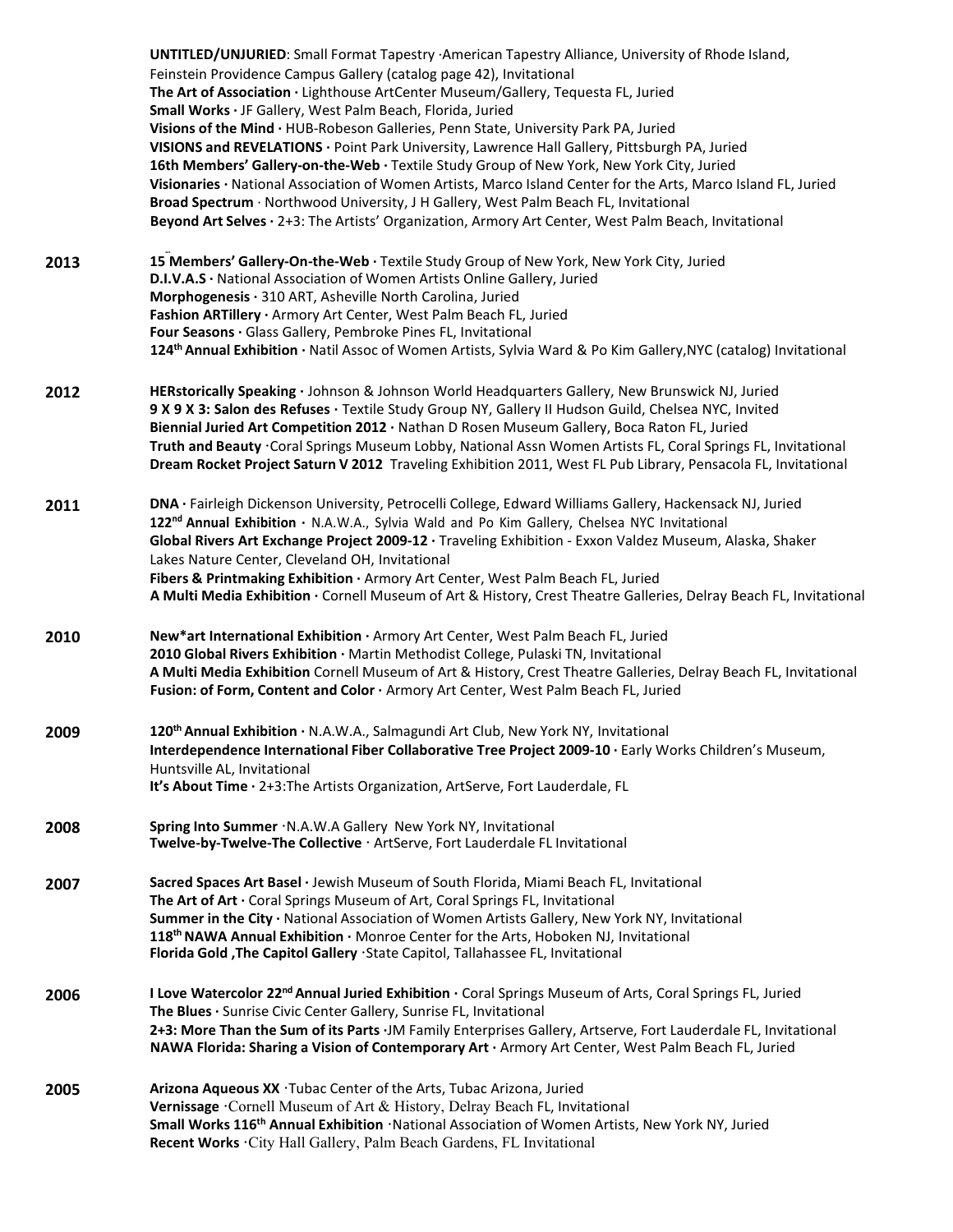**UNTITLED/UNJURIED**: Small Format Tapestry ·American Tapestry Alliance, University of Rhode Island, Feinstein Providence Campus Gallery (catalog page 42), Invitational **The Art of Association ·** Lighthouse ArtCenter Museum/Gallery, Tequesta FL, Juried **Small Works ·** JF Gallery, West Palm Beach, Florida, Juried **Visions of the Mind ·** HUB-Robeson Galleries, Penn State, University Park PA, Juried **VISIONS and REVELATIONS ·** Point Park University, Lawrence Hall Gallery, Pittsburgh PA, Juried **16th Members' Gallery-on-the-Web ·** Textile Study Group of New York, New York City, Juried **Visionaries ·** National Association of Women Artists, Marco Island Center for the Arts, Marco Island FL, Juried **Broad Spectrum** · Northwood University, J H Gallery, West Palm Beach FL, Invitational **Beyond Art Selves ·** 2+3: The Artists' Organization, Armory Art Center, West Palm Beach, Invitational **2013 th 15 Members' Gallery-On-the-Web ·** Textile Study Group of New York, New York City, Juried **D.I.V.A.S ·** National Association of Women Artists Online Gallery, Juried **Morphogenesis ·** 310 ART, Asheville North Carolina, Juried **Fashion ARTillery ·** Armory Art Center, West Palm Beach FL, Juried **Four Seasons ·** Glass Gallery, Pembroke Pines FL, Invitational **124thAnnual Exhibition ·** Natil Assoc of Women Artists, Sylvia Ward & Po Kim Gallery,NYC (catalog) Invitational **2012 HERstorically Speaking ·** Johnson & Johnson World Headquarters Gallery, New Brunswick NJ, Juried **9 X 9 X 3: Salon des Refuses ·** Textile Study Group NY, Gallery II Hudson Guild, Chelsea NYC, Invited **Biennial Juried Art Competition 2012 ·** Nathan D Rosen Museum Gallery, Boca Raton FL, Juried **Truth and Beauty ꞏ**Coral Springs Museum Lobby, National Assn Women Artists FL, Coral Springs FL, Invitational **Dream Rocket Project Saturn V 2012** Traveling Exhibition 2011, West FL Pub Library, Pensacola FL, Invitational **2011 DNA ·** Fairleigh Dickenson University, Petrocelli College, Edward Williams Gallery, Hackensack NJ, Juried **122nd Annual Exhibition ·** N.A.W.A., Sylvia Wald and Po Kim Gallery, Chelsea NYC Invitational **Global Rivers Art Exchange Project 2009-12 ·** Traveling Exhibition - Exxon Valdez Museum, Alaska, Shaker Lakes Nature Center, Cleveland OH, Invitational **Fibers & Printmaking Exhibition ·** Armory Art Center, West Palm Beach FL, Juried **A Multi Media Exhibition ·** Cornell Museum of Art & History, Crest Theatre Galleries, Delray Beach FL, Invitational **2010 New\*art International Exhibition ·** Armory Art Center, West Palm Beach FL, Juried **2010 Global Rivers Exhibition ·** Martin Methodist College, Pulaski TN, Invitational **A Multi Media Exhibition** Cornell Museum of Art & History, Crest Theatre Galleries, Delray Beach FL, Invitational **Fusion: of Form, Content and Color ·** Armory Art Center, West Palm Beach FL, Juried **2009 120thAnnual Exhibition ·** N.A.W.A., Salmagundi Art Club, New York NY, Invitational **Interdependence International Fiber Collaborative Tree Project 2009-10 ·** Early Works Children's Museum, Huntsville AL, Invitational **It's About Time ·** 2+3:The Artists Organization, ArtServe, Fort Lauderdale, FL **2008 Spring Into Summer** · N.A.W.A Gallery New York NY, Invitational **Twelve-by-Twelve-The Collective ꞏ** ArtServe, Fort Lauderdale FL Invitational **2007 Sacred Spaces Art Basel ·** Jewish Museum of South Florida, Miami Beach FL, Invitational **The Art of Art ·** Coral Springs Museum of Art, Coral Springs FL, Invitational **Summer in the City ·** National Association of Women Artists Gallery, New York NY, Invitational **118<sup>th</sup> NAWA Annual Exhibition ·** Monroe Center for the Arts, Hoboken NJ, Invitational **Florida Gold ,The Capitol Gallery ꞏ**State Capitol, Tallahassee FL, Invitational **2006 I Love Watercolor 22<sup>nd</sup> Annual Juried Exhibition**  $\cdot$  Coral Springs Museum of Arts, Coral Springs FL, Juried **The Blues ·** Sunrise Civic Center Gallery, Sunrise FL, Invitational **2+3: More Than the Sum of its Parts ·**JM Family Enterprises Gallery, Artserve, Fort Lauderdale FL, Invitational **NAWA Florida: Sharing a Vision of Contemporary Art ·** Armory Art Center, West Palm Beach FL, Juried **2005 Arizona Aqueous XX ꞏ**Tubac Center of the Arts, Tubac Arizona, Juried **Vernissage ꞏ**Cornell Museum of Art & History, Delray Beach FL, Invitational **Small Works 116th Annual Exhibition ꞏ**National Association of Women Artists, New York NY, Juried **Recent Works ꞏ**City Hall Gallery, Palm Beach Gardens, FL Invitational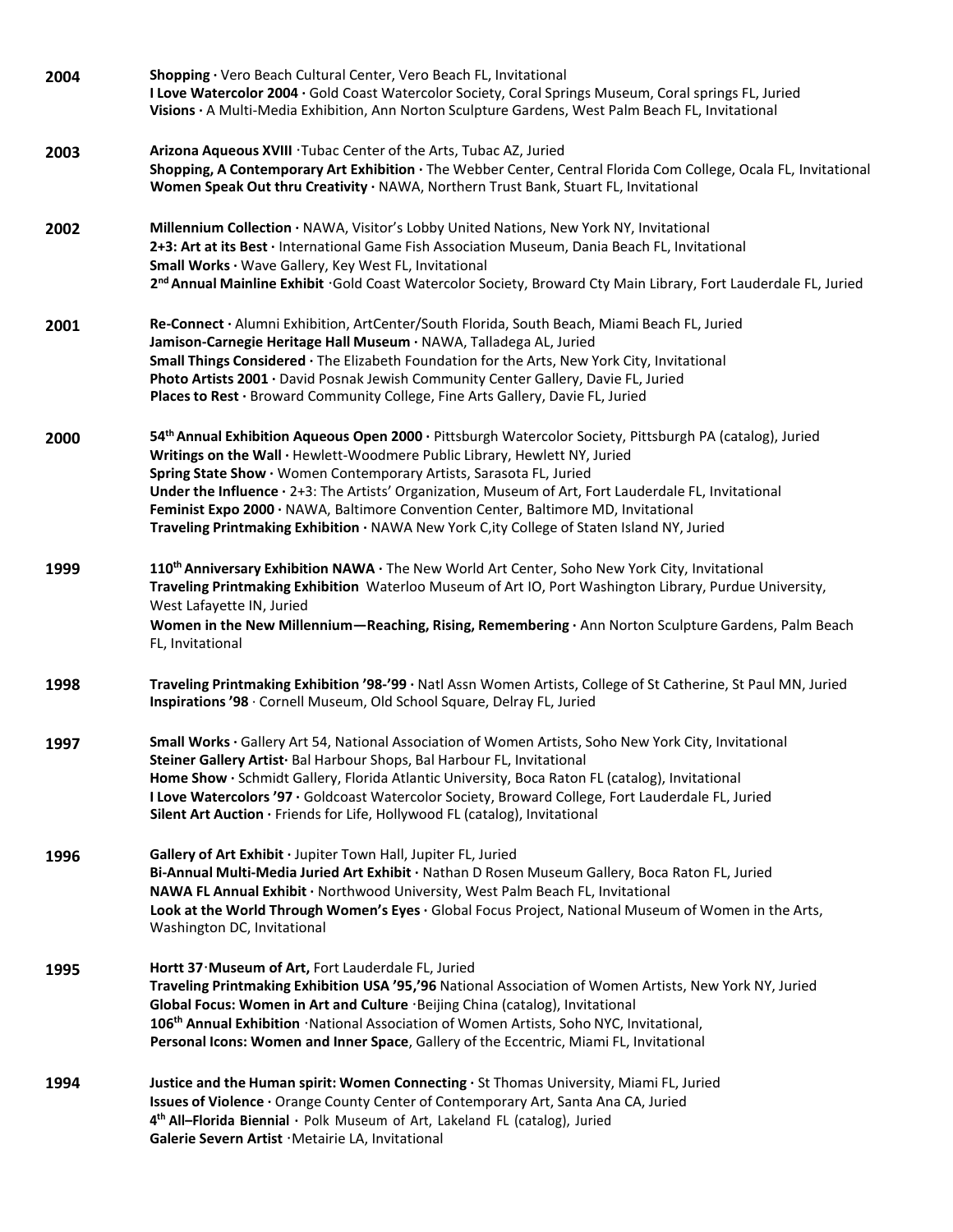| 2004 | Shopping · Vero Beach Cultural Center, Vero Beach FL, Invitational<br>I Love Watercolor 2004 · Gold Coast Watercolor Society, Coral Springs Museum, Coral springs FL, Juried<br>Visions · A Multi-Media Exhibition, Ann Norton Sculpture Gardens, West Palm Beach FL, Invitational                                                                                                                                                                                                                                                                           |
|------|--------------------------------------------------------------------------------------------------------------------------------------------------------------------------------------------------------------------------------------------------------------------------------------------------------------------------------------------------------------------------------------------------------------------------------------------------------------------------------------------------------------------------------------------------------------|
| 2003 | Arizona Aqueous XVIII . Tubac Center of the Arts, Tubac AZ, Juried<br>Shopping, A Contemporary Art Exhibition · The Webber Center, Central Florida Com College, Ocala FL, Invitational<br>Women Speak Out thru Creativity · NAWA, Northern Trust Bank, Stuart FL, Invitational                                                                                                                                                                                                                                                                               |
| 2002 | Millennium Collection · NAWA, Visitor's Lobby United Nations, New York NY, Invitational<br>2+3: Art at its Best · International Game Fish Association Museum, Dania Beach FL, Invitational<br>Small Works · Wave Gallery, Key West FL, Invitational<br>2 <sup>nd</sup> Annual Mainline Exhibit · Gold Coast Watercolor Society, Broward Cty Main Library, Fort Lauderdale FL, Juried                                                                                                                                                                         |
| 2001 | Re-Connect · Alumni Exhibition, ArtCenter/South Florida, South Beach, Miami Beach FL, Juried<br>Jamison-Carnegie Heritage Hall Museum · NAWA, Talladega AL, Juried<br>Small Things Considered · The Elizabeth Foundation for the Arts, New York City, Invitational<br>Photo Artists 2001 · David Posnak Jewish Community Center Gallery, Davie FL, Juried<br>Places to Rest · Broward Community College, Fine Arts Gallery, Davie FL, Juried                                                                                                                 |
| 2000 | 54th Annual Exhibition Aqueous Open 2000 · Pittsburgh Watercolor Society, Pittsburgh PA (catalog), Juried<br>Writings on the Wall · Hewlett-Woodmere Public Library, Hewlett NY, Juried<br>Spring State Show · Women Contemporary Artists, Sarasota FL, Juried<br>Under the Influence · 2+3: The Artists' Organization, Museum of Art, Fort Lauderdale FL, Invitational<br>Feminist Expo 2000 · NAWA, Baltimore Convention Center, Baltimore MD, Invitational<br>Traveling Printmaking Exhibition · NAWA New York C, ity College of Staten Island NY, Juried |
| 1999 | 110 <sup>th</sup> Anniversary Exhibition NAWA · The New World Art Center, Soho New York City, Invitational<br>Traveling Printmaking Exhibition Waterloo Museum of Art IO, Port Washington Library, Purdue University,<br>West Lafayette IN, Juried<br>Women in the New Millennium-Reaching, Rising, Remembering · Ann Norton Sculpture Gardens, Palm Beach<br>FL, Invitational                                                                                                                                                                               |
| 1998 | Traveling Printmaking Exhibition '98-'99 · Natl Assn Women Artists, College of St Catherine, St Paul MN, Juried<br>Inspirations '98 · Cornell Museum, Old School Square, Delray FL, Juried                                                                                                                                                                                                                                                                                                                                                                   |
| 1997 | Small Works · Gallery Art 54, National Association of Women Artists, Soho New York City, Invitational<br>Steiner Gallery Artist· Bal Harbour Shops, Bal Harbour FL, Invitational<br>Home Show · Schmidt Gallery, Florida Atlantic University, Boca Raton FL (catalog), Invitational<br>I Love Watercolors '97 · Goldcoast Watercolor Society, Broward College, Fort Lauderdale FL, Juried<br>Silent Art Auction · Friends for Life, Hollywood FL (catalog), Invitational                                                                                     |
| 1996 | Gallery of Art Exhibit · Jupiter Town Hall, Jupiter FL, Juried<br>Bi-Annual Multi-Media Juried Art Exhibit · Nathan D Rosen Museum Gallery, Boca Raton FL, Juried<br>NAWA FL Annual Exhibit · Northwood University, West Palm Beach FL, Invitational<br>Look at the World Through Women's Eyes · Global Focus Project, National Museum of Women in the Arts,<br>Washington DC, Invitational                                                                                                                                                                  |
| 1995 | Hortt 37 Museum of Art, Fort Lauderdale FL, Juried<br>Traveling Printmaking Exhibition USA '95,'96 National Association of Women Artists, New York NY, Juried<br>Global Focus: Women in Art and Culture · Beijing China (catalog), Invitational<br>106 <sup>th</sup> Annual Exhibition · National Association of Women Artists, Soho NYC, Invitational,<br>Personal Icons: Women and Inner Space, Gallery of the Eccentric, Miami FL, Invitational                                                                                                           |
| 1994 | Justice and the Human spirit: Women Connecting · St Thomas University, Miami FL, Juried<br>Issues of Violence · Orange County Center of Contemporary Art, Santa Ana CA, Juried<br>4 <sup>th</sup> All-Florida Biennial · Polk Museum of Art, Lakeland FL (catalog), Juried<br>Galerie Severn Artist · Metairie LA, Invitational                                                                                                                                                                                                                              |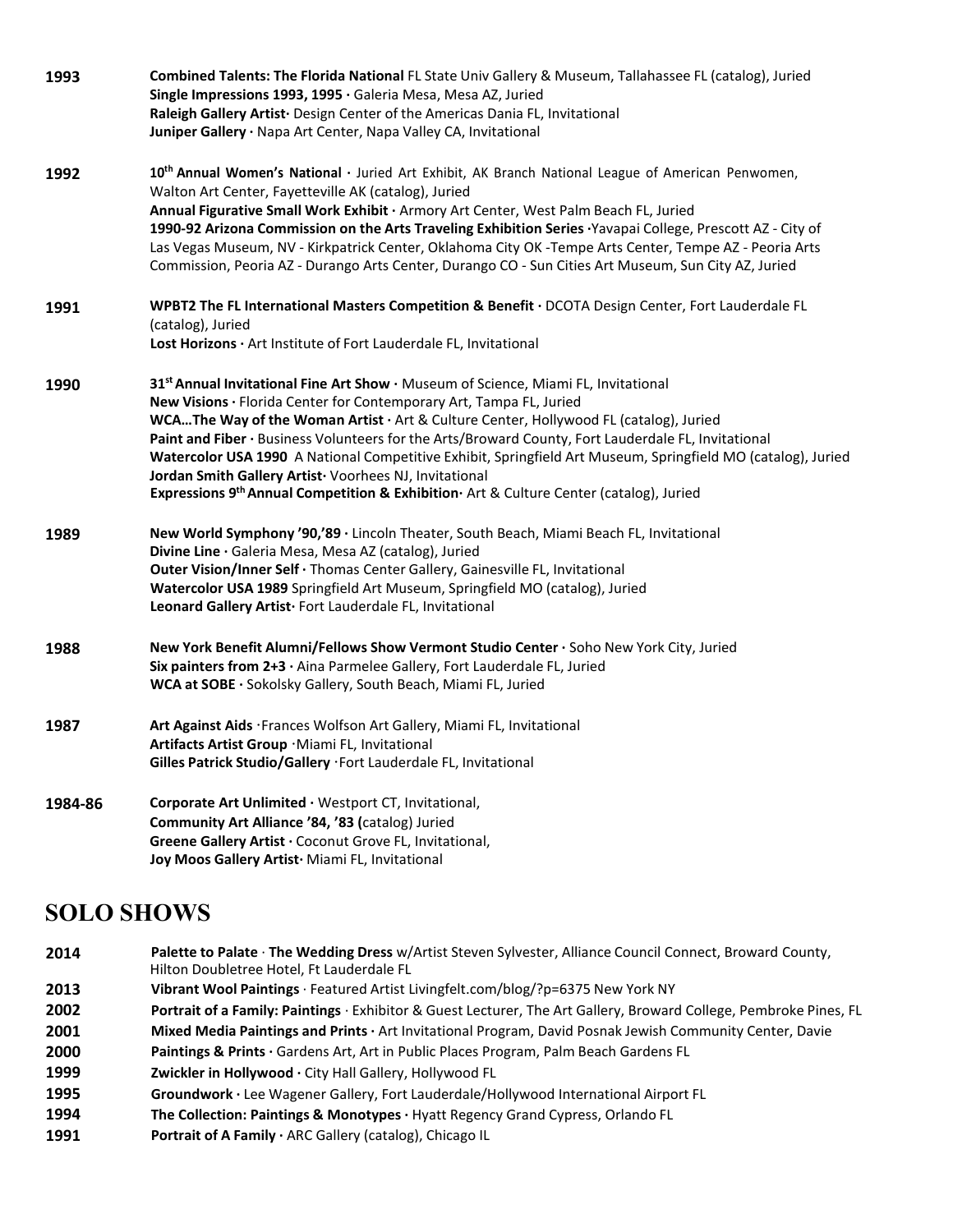| 1993    | <b>Combined Talents: The Florida National</b> FL State Univ Gallery & Museum, Tallahassee FL (catalog), Juried<br>Single Impressions 1993, 1995 · Galeria Mesa, Mesa AZ, Juried<br>Raleigh Gallery Artist · Design Center of the Americas Dania FL, Invitational                                                                                                                                                                                                                                                                                                                                                             |
|---------|------------------------------------------------------------------------------------------------------------------------------------------------------------------------------------------------------------------------------------------------------------------------------------------------------------------------------------------------------------------------------------------------------------------------------------------------------------------------------------------------------------------------------------------------------------------------------------------------------------------------------|
|         | Juniper Gallery · Napa Art Center, Napa Valley CA, Invitational                                                                                                                                                                                                                                                                                                                                                                                                                                                                                                                                                              |
| 1992    | 10th Annual Women's National · Juried Art Exhibit, AK Branch National League of American Penwomen,<br>Walton Art Center, Fayetteville AK (catalog), Juried<br>Annual Figurative Small Work Exhibit · Armory Art Center, West Palm Beach FL, Juried                                                                                                                                                                                                                                                                                                                                                                           |
|         | 1990-92 Arizona Commission on the Arts Traveling Exhibition Series Yavapai College, Prescott AZ - City of<br>Las Vegas Museum, NV - Kirkpatrick Center, Oklahoma City OK -Tempe Arts Center, Tempe AZ - Peoria Arts<br>Commission, Peoria AZ - Durango Arts Center, Durango CO - Sun Cities Art Museum, Sun City AZ, Juried                                                                                                                                                                                                                                                                                                  |
| 1991    | WPBT2 The FL International Masters Competition & Benefit · DCOTA Design Center, Fort Lauderdale FL<br>(catalog), Juried<br>Lost Horizons · Art Institute of Fort Lauderdale FL, Invitational                                                                                                                                                                                                                                                                                                                                                                                                                                 |
| 1990    | 31st Annual Invitational Fine Art Show · Museum of Science, Miami FL, Invitational<br>New Visions · Florida Center for Contemporary Art, Tampa FL, Juried<br>WCAThe Way of the Woman Artist · Art & Culture Center, Hollywood FL (catalog), Juried<br>Paint and Fiber · Business Volunteers for the Arts/Broward County, Fort Lauderdale FL, Invitational<br>Watercolor USA 1990 A National Competitive Exhibit, Springfield Art Museum, Springfield MO (catalog), Juried<br>Jordan Smith Gallery Artist Voorhees NJ, Invitational<br>Expressions 9th Annual Competition & Exhibition Art & Culture Center (catalog), Juried |
| 1989    | New World Symphony '90,'89 · Lincoln Theater, South Beach, Miami Beach FL, Invitational<br>Divine Line · Galeria Mesa, Mesa AZ (catalog), Juried<br>Outer Vision/Inner Self · Thomas Center Gallery, Gainesville FL, Invitational<br>Watercolor USA 1989 Springfield Art Museum, Springfield MO (catalog), Juried<br>Leonard Gallery Artist · Fort Lauderdale FL, Invitational                                                                                                                                                                                                                                               |
| 1988    | New York Benefit Alumni/Fellows Show Vermont Studio Center · Soho New York City, Juried<br>Six painters from 2+3 · Aina Parmelee Gallery, Fort Lauderdale FL, Juried<br>WCA at SOBE · Sokolsky Gallery, South Beach, Miami FL, Juried                                                                                                                                                                                                                                                                                                                                                                                        |
| 1987    | Art Against Aids · Frances Wolfson Art Gallery, Miami FL, Invitational<br>Artifacts Artist Group . Miami FL, Invitational<br>Gilles Patrick Studio/Gallery · Fort Lauderdale FL, Invitational                                                                                                                                                                                                                                                                                                                                                                                                                                |
| 1984-86 | Corporate Art Unlimited · Westport CT, Invitational,<br>Community Art Alliance '84, '83 (catalog) Juried<br>Greene Gallery Artist · Coconut Grove FL, Invitational,<br>Joy Moos Gallery Artist Miami FL, Invitational                                                                                                                                                                                                                                                                                                                                                                                                        |

#### **SOLO SHOWS**

- **2014 Palette to Palate** · **The Wedding Dress** w/Artist Steven Sylvester, Alliance Council Connect, Broward County,
- Hilton Doubletree Hotel, Ft Lauderdale FL
- **2013 Vibrant Wool Paintings** · Featured Artist Livingfelt.com/blog/?p=6375 New York NY
- **2002 Portrait of a Family: Paintings** · Exhibitor & Guest Lecturer, The Art Gallery, Broward College, Pembroke Pines, FL
- **2001 Mixed Media Paintings and Prints ·** Art Invitational Program, David Posnak Jewish Community Center, Davie
- **2000 Paintings & Prints ·** Gardens Art, Art in Public Places Program, Palm Beach Gardens FL
- **1999 Zwickler in Hollywood ·** City Hall Gallery, Hollywood FL
- **1995 Groundwork ·** Lee Wagener Gallery, Fort Lauderdale/Hollywood International Airport FL
- **1994 The Collection: Paintings & Monotypes ·** Hyatt Regency Grand Cypress, Orlando FL
- **1991 Portrait of A Family ·** ARC Gallery (catalog), Chicago IL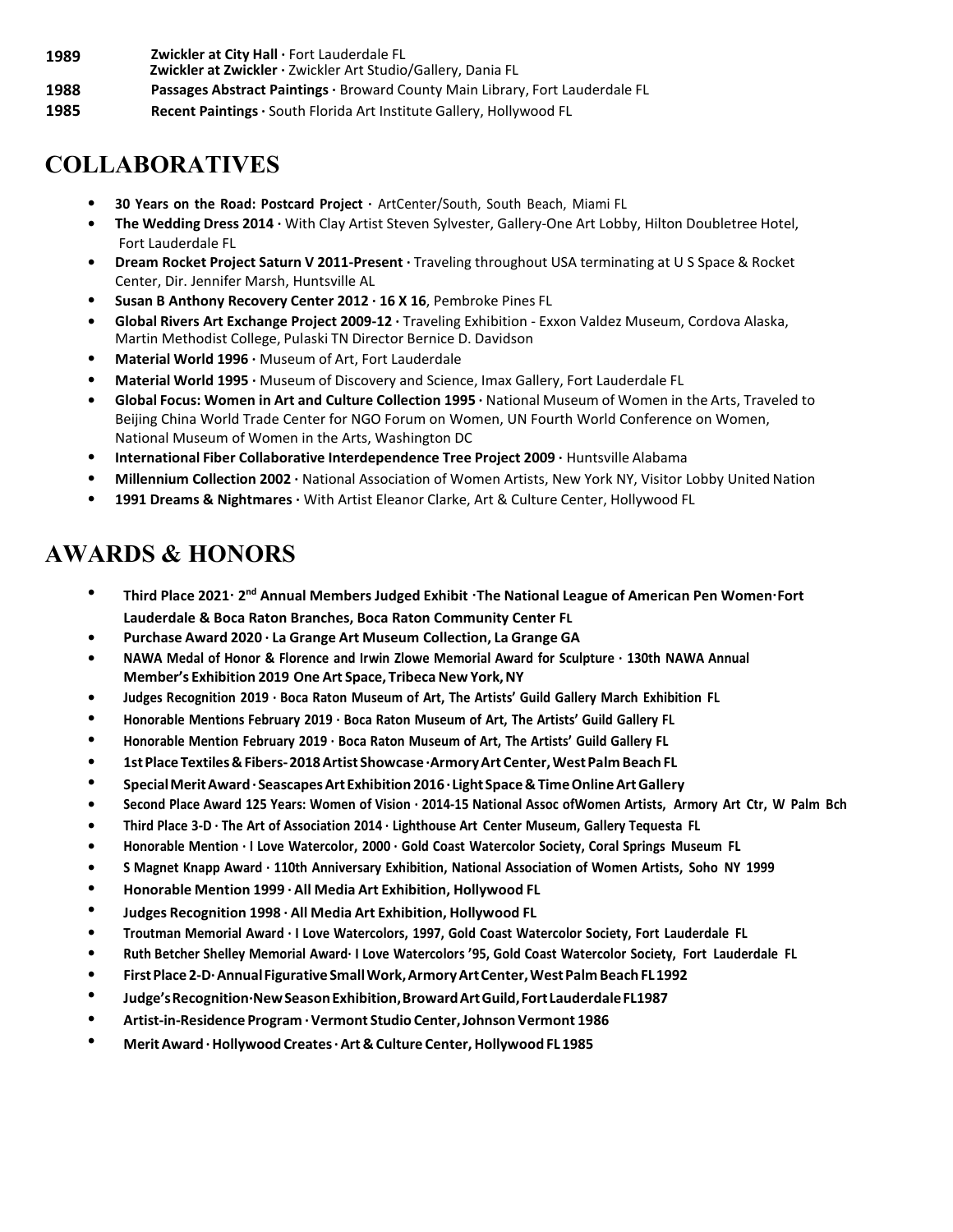**1989 Zwickler at City Hall ·** Fort Lauderdale FL

- **Zwickler at Zwickler ·** Zwickler Art Studio/Gallery, Dania FL
- **1988 Passages Abstract Paintings ·** Broward County Main Library, Fort Lauderdale FL
- **1985 Recent Paintings ·** South Florida Art Institute Gallery, Hollywood FL

# **COLLABORATIVES**

- **• 30 Years on the Road: Postcard Project ·** ArtCenter/South, South Beach, Miami FL
- **• The Wedding Dress 2014 ·** With Clay Artist Steven Sylvester, Gallery-One Art Lobby, Hilton Doubletree Hotel, Fort Lauderdale FL
- **• Dream Rocket Project Saturn V 2011-Present ·** Traveling throughout USA terminating at U S Space & Rocket Center, Dir. Jennifer Marsh, Huntsville AL
- **• Susan B Anthony Recovery Center 2012 · 16 X 16**, Pembroke Pines FL
- **• Global Rivers Art Exchange Project 2009-12 ·** Traveling Exhibition Exxon Valdez Museum, Cordova Alaska, Martin Methodist College, Pulaski TN Director Bernice D. Davidson
- **• Material World 1996 ·** Museum of Art, Fort Lauderdale
- **• Material World 1995 ·** Museum of Discovery and Science, Imax Gallery, Fort Lauderdale FL
- **• Global Focus: Women in Art and Culture Collection 1995 ·** National Museum of Women in the Arts, Traveled to Beijing China World Trade Center for NGO Forum on Women, UN Fourth World Conference on Women, National Museum of Women in the Arts, Washington DC
- **• International Fiber Collaborative Interdependence Tree Project 2009 ·** Huntsville Alabama
- **• Millennium Collection 2002 ·** National Association of Women Artists, New York NY, Visitor Lobby United Nation
- **• 1991 Dreams & Nightmares ·** With Artist Eleanor Clarke, Art & Culture Center, Hollywood FL

#### **AWARDS & HONORS**

- Third Place 2021 · 2<sup>nd</sup> Annual Members Judged Exhibit · The National League of American Pen Women · Fort **Lauderdale & Boca Raton Branches, Boca Raton Community Center FL**
- **• Purchase Award 2020 · La Grange Art Museum Collection, La Grange GA**
- **• NAWA Medal of Honor & Florence and Irwin Zlowe Memorial Award for Sculpture · 130th NAWA Annual Member's Exhibition 2019 One Art Space, Tribeca New York, NY**
- **• Judges Recognition 2019 · Boca Raton Museum of Art, The Artists' Guild Gallery March Exhibition FL**
- **• Honorable Mentions February 2019 · Boca Raton Museum of Art, The Artists' Guild Gallery FL**
- **• Honorable Mention February 2019 · Boca Raton Museum of Art, The Artists' Guild Gallery FL**
- **• 1stPlaceTextiles&Fibers-2018Artist Showcase·ArmoryArt Center,WestPalm Beach FL**
- **• SpecialMeritAward·SeascapesArtExhibition 2016·Light Space&TimeOnlineArtGallery**
- Second Place Award 125 Years: Women of Vision · 2014-15 National Assoc of Women Artists, Armory Art Ctr, W Palm Bch
- **• Third Place 3-D · The Art of Association 2014 · Lighthouse Art Center Museum, Gallery Tequesta FL**
- **• Honorable Mention · I Love Watercolor, 2000 · Gold Coast Watercolor Society, Coral Springs Museum FL**
- S Magnet Knapp Award · 110th Anniversary Exhibition, National Association of Women Artists, Soho NY 1999
- **• Honorable Mention 1999 · All Media Art Exhibition, Hollywood FL**
- **• Judges Recognition 1998 · All Media Art Exhibition, Hollywood FL**
- **• Troutman Memorial Award · I Love Watercolors, 1997, Gold Coast Watercolor Society, Fort Lauderdale FL**
- Ruth Betcher Shelley Memorial Award I Love Watercolors '95, Gold Coast Watercolor Society, Fort Lauderdale FL
- **• FirstPlace2-D·AnnualFigurative SmallWork,ArmoryArtCenter,WestPalm Beach FL1992**
- **• Judge'sRecognition·NewSeasonExhibition,BrowardArtGuild,FortLauderdaleFL1987**
- **• Artist-in-Residence Program ·Vermont Studio Center,Johnson Vermont 1986**
- **• MeritAward ·Hollywood Creates·Art& Culture Center,Hollywood FL 1985**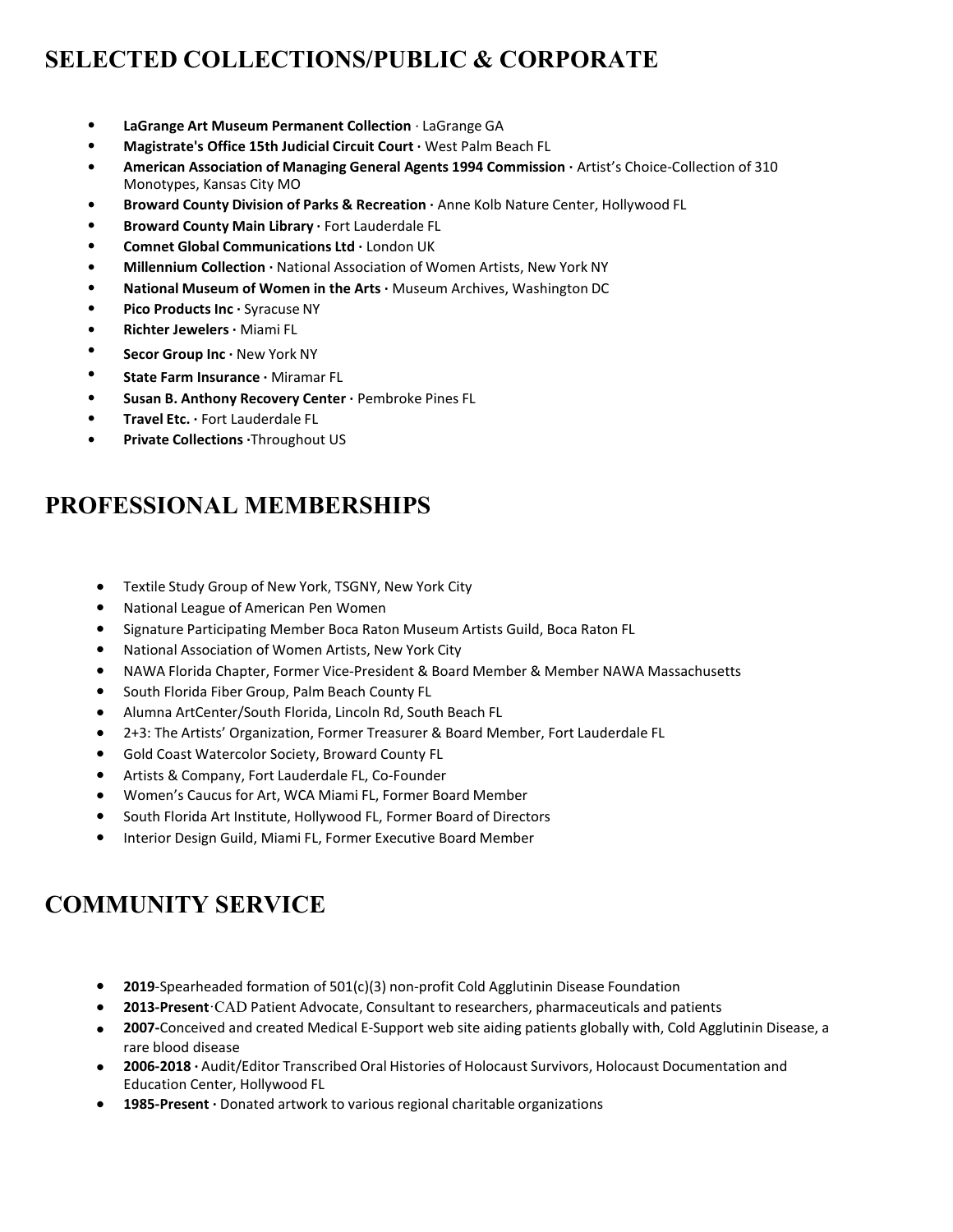# **SELECTED COLLECTIONS/PUBLIC & CORPORATE**

- **• LaGrange Art Museum Permanent Collection** · LaGrange GA
- **• Magistrate's Office 15th Judicial Circuit Court ·** West Palm Beach FL
- **• American Association of Managing General Agents 1994 Commission ·** Artist's Choice-Collection of 310 Monotypes, Kansas City MO
- **• Broward County Division of Parks & Recreation ·** Anne Kolb Nature Center, Hollywood FL
- **• Broward County Main Library ·** Fort Lauderdale FL
- **• Comnet Global Communications Ltd ·** London UK
- **• Millennium Collection ·** National Association of Women Artists, New York NY
- **• National Museum of Women in the Arts ·** Museum Archives, Washington DC
- **• Pico Products Inc ·** Syracuse NY
- **• Richter Jewelers ·** Miami FL
- **• Secor Group Inc ·** New York NY
- **• State Farm Insurance ·** Miramar FL
- **• Susan B. Anthony Recovery Center ·** Pembroke Pines FL
- **• Travel Etc. ·** Fort Lauderdale FL
- **• Private Collections ·**Throughout US

### **PROFESSIONAL MEMBERSHIPS**

- **•** Textile Study Group of New York, TSGNY, New York City
- **•** National League of American Pen Women
- **•** Signature Participating Member Boca Raton Museum Artists Guild, Boca Raton FL
- **•** National Association of Women Artists, New York City
- **•** NAWA Florida Chapter, Former Vice-President & Board Member & Member NAWA Massachusetts
- **•** South Florida Fiber Group, Palm Beach County FL
- **•** Alumna ArtCenter/South Florida, Lincoln Rd, South Beach FL
- **•** 2+3: The Artists' Organization, Former Treasurer & Board Member, Fort Lauderdale FL
- **•** Gold Coast Watercolor Society, Broward County FL
- **•** Artists & Company, Fort Lauderdale FL, Co-Founder
- **•** Women's Caucus for Art, WCA Miami FL, Former Board Member
- **•** South Florida Art Institute, Hollywood FL, Former Board of Directors
- **•** Interior Design Guild, Miami FL, Former Executive Board Member

### **COMMUNITY SERVICE**

- **• 2019**-Spearheaded formation of 501(c)(3) non-profit Cold Agglutinin Disease Foundation
- **• 2013-Present**ꞏCAD Patient Advocate, Consultant to researchers, pharmaceuticals and patients
- **• 2007-**Conceived and created Medical E-Support web site aiding patients globally with, Cold Agglutinin Disease, a rare blood disease
- **• 2006-2018 ·** Audit/Editor Transcribed Oral Histories of Holocaust Survivors, Holocaust Documentation and Education Center, Hollywood FL
- **• 1985-Present ·** Donated artwork to various regional charitable organizations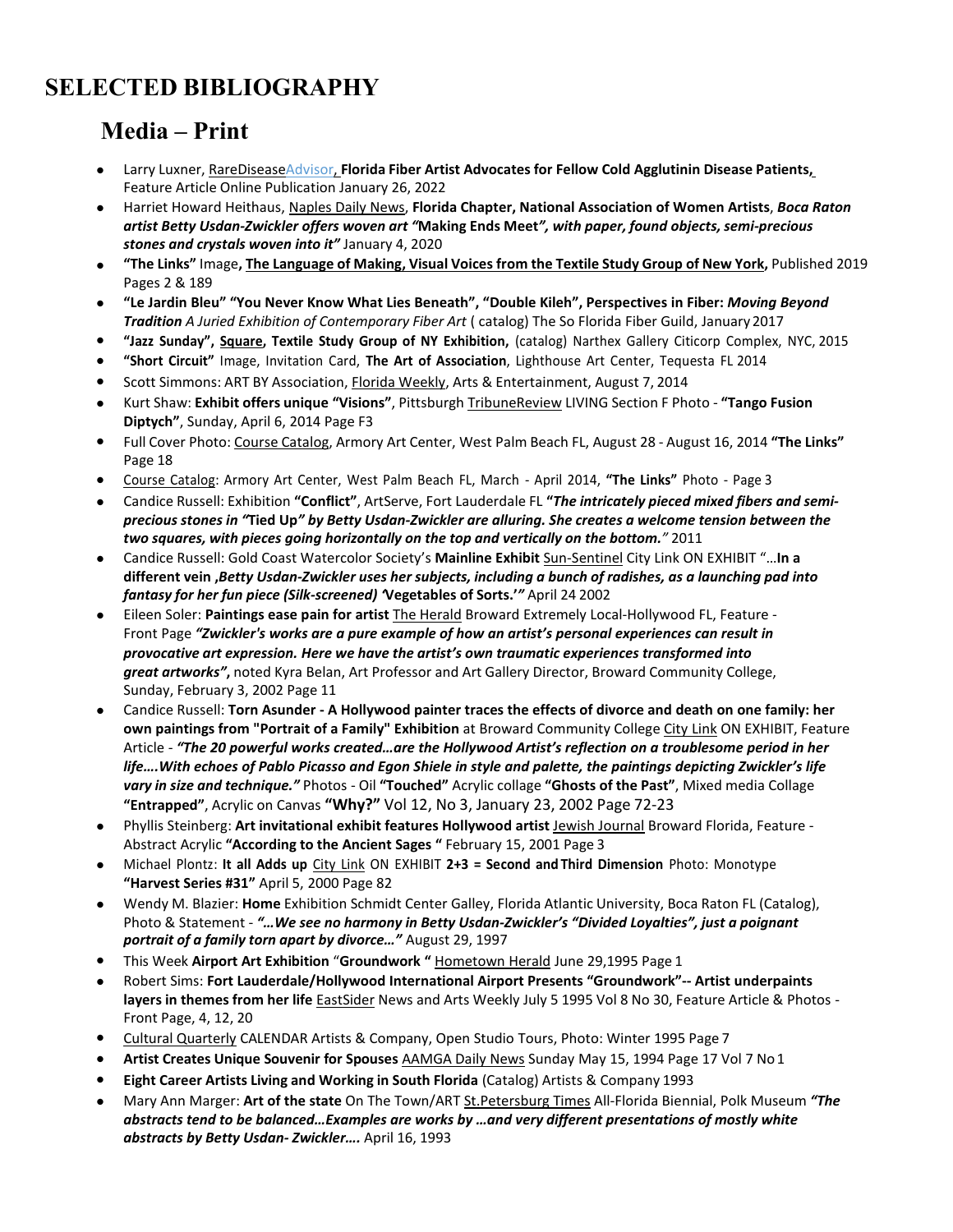# **SELECTED BIBLIOGRAPHY**

### **Media – Print**

- **•** Larry Luxner, RareDiseaseAdvisor, **Florida Fiber Artist Advocates for Fellow Cold Agglutinin Disease Patients,** Feature Article Online Publication January 26, 2022
- **•** Harriet Howard Heithaus, Naples Daily News, **Florida Chapter, National Association of Women Artists**, *Boca Raton artist Betty Usdan-Zwickler offers woven art "***Making Ends Meet***", with paper, found objects, semi-precious stones and crystals woven into it"* January 4, 2020
- "The Links" Image, The Language of Making, Visual Voices from the Textile Study Group of New York, Published 2019 Pages 2 & 189
- **• "Le Jardin Bleu" "You Never Know What Lies Beneath", "Double Kileh", Perspectives in Fiber:** *Moving Beyond Tradition A Juried Exhibition of Contemporary Fiber Art* ( catalog) The So Florida Fiber Guild, January 2017
- **• "Jazz Sunday", Square, Textile Study Group of NY Exhibition,** (catalog) Narthex Gallery Citicorp Complex, NYC, 2015
- **• "Short Circuit"** Image, Invitation Card, **The Art of Association**, Lighthouse Art Center, Tequesta FL 2014
- **•** Scott Simmons: ART BY Association, Florida Weekly, Arts & Entertainment, August 7, 2014
- **•** Kurt Shaw: **Exhibit offers unique "Visions"**, Pittsburgh TribuneReview LIVING Section F Photo **"Tango Fusion Diptych"**, Sunday, April 6, 2014 Page F3
- **•** Full Cover Photo: Course Catalog, Armory Art Center, West Palm Beach FL, August 28 August 16, 2014 **"The Links"** Page 18
- **•** Course Catalog: Armory Art Center, West Palm Beach FL, March April 2014, **"The Links"** Photo Page 3
- **•** Candice Russell: Exhibition **"Conflict"**, ArtServe, Fort Lauderdale FL **"***The intricately pieced mixed fibers and semi*precious stones in "Tied Up" by Betty Usdan-Zwickler are alluring. She creates a welcome tension between the *two squares, with pieces going horizontally on the top and vertically on the bottom."* 2011
- **•** Candice Russell: Gold Coast Watercolor Society's **Mainline Exhibit** Sun-Sentinel City Link ON EXHIBIT "…**In a different vein ,***Betty Usdan-Zwickler uses her subjects, including a bunch of radishes, as a launching pad into fantasy for her fun piece (Silk-screened) '***Vegetables of Sorts.'***"* April 24 2002
- **•** Eileen Soler: Paintings ease pain for artist **The Herald Broward Extremely Local-Hollywood FL, Feature -**Front Page *"Zwickler's works are a pure example of how an artist's personal experiences can result in provocative art expression. Here we have the artist's own traumatic experiences transformed into great artworks"***,** noted Kyra Belan, Art Professor and Art Gallery Director, Broward Community College, Sunday, February 3, 2002 Page 11
- **•** Candice Russell: **Torn Asunder - A Hollywood painter traces the effects of divorce and death on one family: her own paintings from "Portrait of a Family" Exhibition** at Broward Community College City Link ON EXHIBIT, Feature Article - *"The 20 powerful works created…are the Hollywood Artist's reflection on a troublesome period in her life….With echoes of Pablo Picasso and Egon Shiele in style and palette, the paintings depicting Zwickler's life vary in size and technique."* Photos - Oil **"Touched"** Acrylic collage **"Ghosts of the Past"**, Mixed media Collage **"Entrapped"**, Acrylic on Canvas **"Why?"** Vol 12, No 3, January 23, 2002 Page 72-23
- **•** Phyllis Steinberg: **Art invitational exhibit features Hollywood artist** Jewish Journal Broward Florida, Feature Abstract Acrylic **"According to the Ancient Sages "** February 15, 2001 Page 3
- **•** Michael Plontz: **It all Adds up** City Link ON EXHIBIT **2+3 = Second and Third Dimension** Photo: Monotype **"Harvest Series #31"** April 5, 2000 Page 82
- **•** Wendy M. Blazier: **Home** Exhibition Schmidt Center Galley, Florida Atlantic University, Boca Raton FL (Catalog), Photo & Statement - *"…We see no harmony in Betty Usdan-Zwickler's "Divided Loyalties", just a poignant portrait of a family torn apart by divorce…"* August 29, 1997
- **•** This Week **Airport Art Exhibition** "**Groundwork "** Hometown Herald June 29,1995 Page 1
- **•** Robert Sims: **Fort Lauderdale/Hollywood International Airport Presents "Groundwork"-- Artist underpaints layers in themes from her life** EastSider News and Arts Weekly July 5 1995 Vol 8 No 30, Feature Article & Photos - Front Page, 4, 12, 20
- **•** Cultural Quarterly CALENDAR Artists & Company, Open Studio Tours, Photo: Winter 1995 Page 7
- **• Artist Creates Unique Souvenir for Spouses** AAMGA Daily News Sunday May 15, 1994 Page 17 Vol 7 No1
- **• Eight Career Artists Living and Working in South Florida** (Catalog) Artists & Company 1993
- **•** Mary Ann Marger: **Art of the state** On The Town/ART St.Petersburg Times All-Florida Biennial, Polk Museum *"The abstracts tend to be balanced…Examples are works by …and very different presentations of mostly white abstracts by Betty Usdan- Zwickler….* April 16, 1993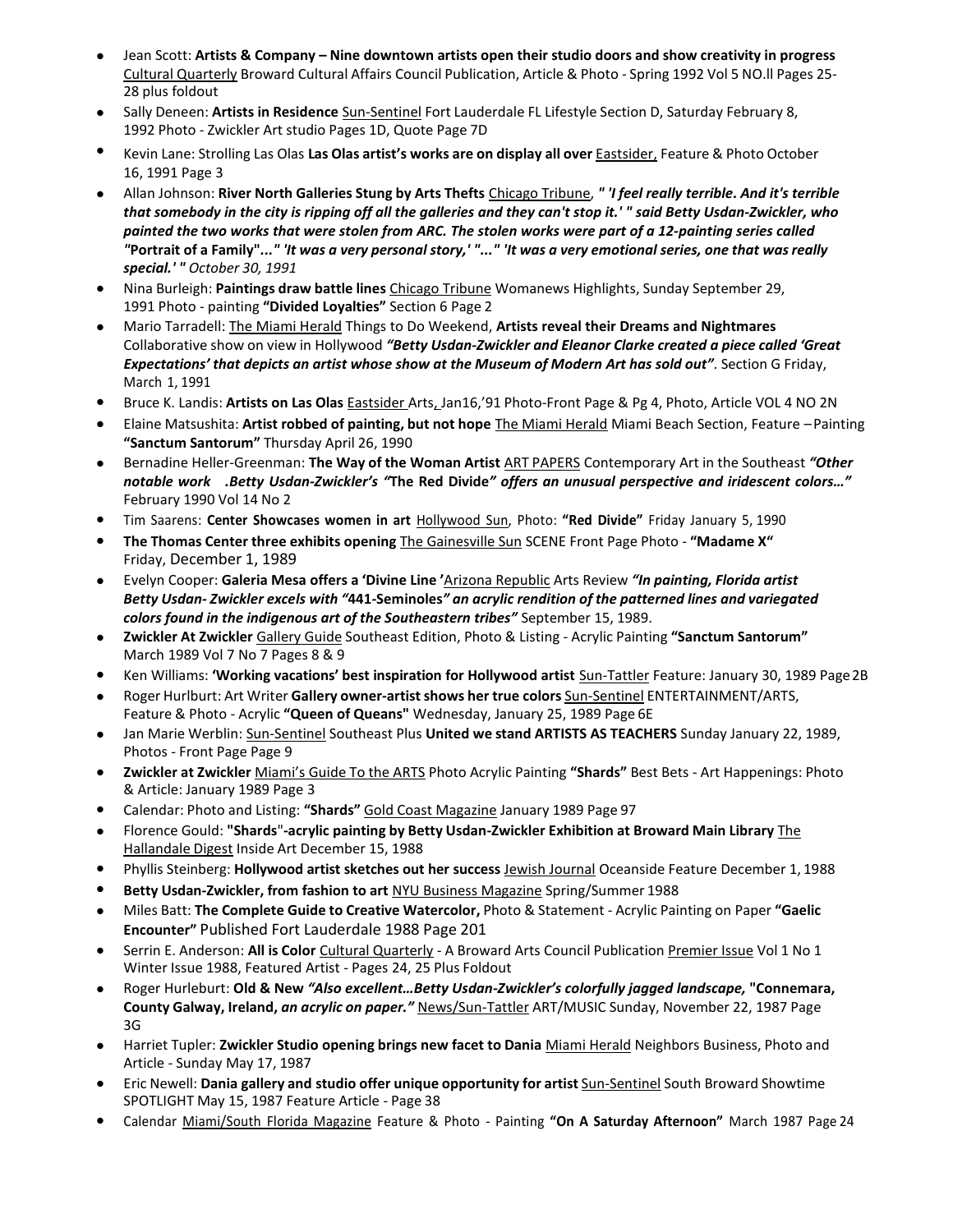- Jean Scott: Artists & Company Nine downtown artists open their studio doors and show creativity in progress Cultural Quarterly Broward Cultural Affairs Council Publication, Article & Photo - Spring 1992 Vol 5 NO.ll Pages 25- 28 plus foldout
- **•** Sally Deneen: **Artists in Residence** Sun-Sentinel Fort Lauderdale FL Lifestyle Section D, Saturday February 8, 1992 Photo - Zwickler Art studio Pages 1D, Quote Page 7D
- **•** Kevin Lane: Strolling Las Olas **Las Olas artist's works are on display all over** Eastsider, Feature & Photo October 16, 1991 Page 3
- Allan Johnson: River North Galleries Stung by Arts Thefts Chicago Tribune, " 'I feel really terrible. And it's terrible *that somebody in the city is ripping off all the galleries and they can't stop it.' " said Betty Usdan-Zwickler, who painted the two works that were stolen from ARC. The stolen works were part of a 12-painting series called* "Portrait of a Family"..." 'It was a very personal story,'"..." 'It was a very emotional series, one that was really *special.' " October 30, 1991*
- **•** Nina Burleigh: **Paintings draw battle lines** Chicago Tribune Womanews Highlights, Sunday September 29, 1991 Photo - painting **"Divided Loyalties"** Section 6 Page 2
- **•** Mario Tarradell: The Miami Herald Things to Do Weekend, **Artists reveal their Dreams and Nightmares** Collaborative show on view in Hollywood *"Betty Usdan-Zwickler and Eleanor Clarke created a piece called 'Great Expectations' that depicts an artist whose show at the Museum of Modern Art has sold out"*. Section G Friday, March 1, 1991
- **•** Bruce K. Landis: **Artists on Las Olas** Eastsider Arts, Jan16,'91 Photo-Front Page & Pg 4, Photo, Article VOL 4 NO 2N
- **•** Elaine Matsushita: **Artist robbed of painting, but not hope** The Miami Herald Miami Beach Section, Feature –Painting **"Sanctum Santorum"** Thursday April 26, 1990
- **•** Bernadine Heller-Greenman: **The Way of the Woman Artist** ART PAPERS Contemporary Art in the Southeast *"Other notable work .Betty Usdan-Zwickler's "***The Red Divide***" offers an unusual perspective and iridescent colors…"* February 1990 Vol 14 No 2
- **•** Tim Saarens: **Center Showcases women in art** Hollywood Sun, Photo: **"Red Divide"** Friday January 5, 1990
- **• The Thomas Center three exhibits opening** The Gainesville Sun SCENE Front Page Photo **"Madame X"** Friday, December 1, 1989
- **•** Evelyn Cooper: **Galeria Mesa offers a 'Divine Line '**Arizona Republic Arts Review *"In painting, Florida artist* Betty Usdan-Zwickler excels with "441-Seminoles" an acrylic rendition of the patterned lines and variegated *colors found in the indigenous art of the Southeastern tribes"* September 15, 1989.
- **• Zwickler At Zwickler** Gallery Guide Southeast Edition, Photo & Listing Acrylic Painting **"Sanctum Santorum"** March 1989 Vol 7 No 7 Pages 8 & 9
- **•** Ken Williams: **'Working vacations' best inspiration for Hollywood artist** Sun-Tattler Feature: January 30, 1989 Page2B
- **•** Roger Hurlburt: Art Writer **Gallery owner-artistshows her true colors** Sun-Sentinel ENTERTAINMENT/ARTS, Feature & Photo - Acrylic **"Queen of Queans"** Wednesday, January 25, 1989 Page 6E
- **•** Jan Marie Werblin: Sun-Sentinel Southeast Plus **United we stand ARTISTS AS TEACHERS** Sunday January 22, 1989, Photos - Front Page Page 9
- **• Zwickler at Zwickler** Miami's Guide To the ARTS Photo Acrylic Painting **"Shards"** Best Bets Art Happenings: Photo & Article: January 1989 Page 3
- **•** Calendar: Photo and Listing: **"Shards"** Gold Coast Magazine January 1989 Page 97
- **•** Florence Gould: **"Shards**"**-acrylic painting by Betty Usdan-Zwickler Exhibition at Broward Main Library** The Hallandale Digest Inside Art December 15, 1988
- **•** Phyllis Steinberg: **Hollywood artist sketches out her success** Jewish Journal Oceanside Feature December 1, 1988
- **• Betty Usdan-Zwickler, from fashion to art** NYU Business Magazine Spring/Summer 1988
- **•** Miles Batt: **The Complete Guide to Creative Watercolor,** Photo & Statement Acrylic Painting on Paper **"Gaelic Encounter"** Published Fort Lauderdale 1988 Page 201
- **•** Serrin E. Anderson: **All is Color** Cultural Quarterly A Broward Arts Council Publication Premier Issue Vol 1 No 1 Winter Issue 1988, Featured Artist - Pages 24, 25 Plus Foldout
- **•** Roger Hurleburt: **Old & New** *"Also excellent…Betty Usdan-Zwickler's colorfully jagged landscape,* **"Connemara, County Galway, Ireland,** *an acrylic on paper."* News/Sun-Tattler ART/MUSIC Sunday, November 22, 1987 Page 3G
- **•** Harriet Tupler: **Zwickler Studio opening brings new facet to Dania** Miami Herald Neighbors Business, Photo and Article - Sunday May 17, 1987
- **•** Eric Newell: **Dania gallery and studio offer unique opportunity for artist** Sun-Sentinel South Broward Showtime SPOTLIGHT May 15, 1987 Feature Article - Page 38
- **•** Calendar Miami/South Florida Magazine Feature & Photo Painting **"On A Saturday Afternoon"** March 1987 Page 24